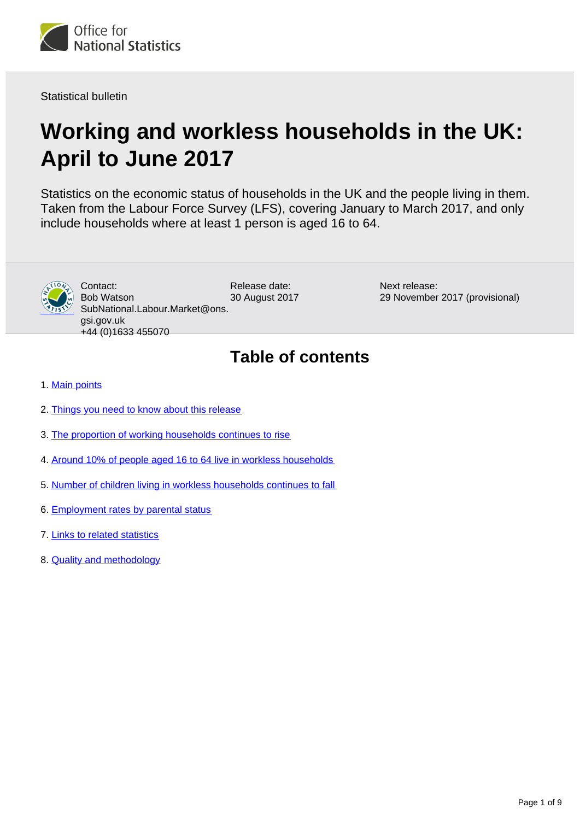

Statistical bulletin

# **Working and workless households in the UK: April to June 2017**

Statistics on the economic status of households in the UK and the people living in them. Taken from the Labour Force Survey (LFS), covering January to March 2017, and only include households where at least 1 person is aged 16 to 64.



Release date: 30 August 2017 Contact: Bob Watson SubNational.Labour.Market@ons. gsi.gov.uk +44 (0)1633 455070

Next release: 29 November 2017 (provisional)

## **Table of contents**

- 1. [Main points](#page-1-0)
- 2. [Things you need to know about this release](#page-1-1)
- 3. [The proportion of working households continues to rise](#page-4-0)
- 4. [Around 10% of people aged 16 to 64 live in workless households](#page-5-0)
- 5. [Number of children living in workless households continues to fall](#page-6-0)
- 6. [Employment rates by parental status](#page-6-1)
- 7. [Links to related statistics](#page-7-0)
- 8. [Quality and methodology](#page-7-1)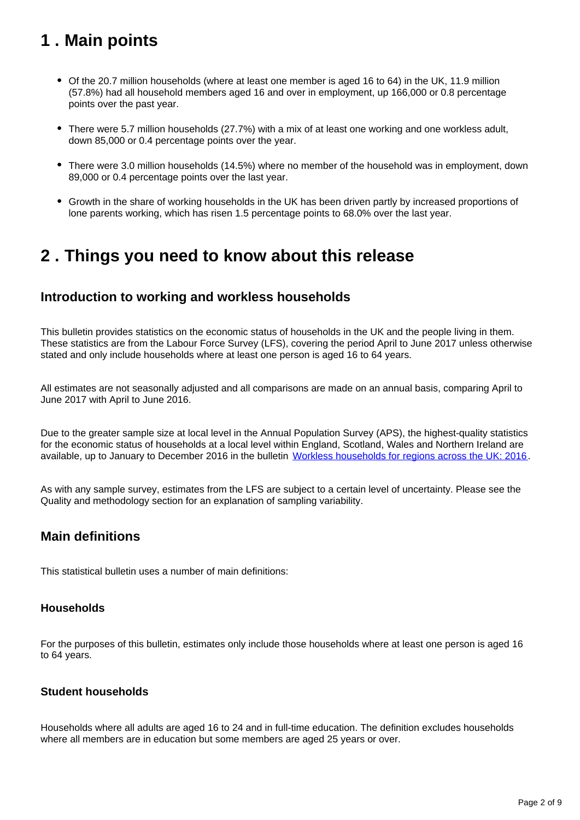## <span id="page-1-0"></span>**1 . Main points**

- Of the 20.7 million households (where at least one member is aged 16 to 64) in the UK, 11.9 million (57.8%) had all household members aged 16 and over in employment, up 166,000 or 0.8 percentage points over the past year.
- There were 5.7 million households (27.7%) with a mix of at least one working and one workless adult, down 85,000 or 0.4 percentage points over the year.
- There were 3.0 million households (14.5%) where no member of the household was in employment, down 89,000 or 0.4 percentage points over the last year.
- Growth in the share of working households in the UK has been driven partly by increased proportions of lone parents working, which has risen 1.5 percentage points to 68.0% over the last year.

### <span id="page-1-1"></span>**2 . Things you need to know about this release**

### **Introduction to working and workless households**

This bulletin provides statistics on the economic status of households in the UK and the people living in them. These statistics are from the Labour Force Survey (LFS), covering the period April to June 2017 unless otherwise stated and only include households where at least one person is aged 16 to 64 years.

All estimates are not seasonally adjusted and all comparisons are made on an annual basis, comparing April to June 2017 with April to June 2016.

Due to the greater sample size at local level in the Annual Population Survey (APS), the highest-quality statistics for the economic status of households at a local level within England, Scotland, Wales and Northern Ireland are available, up to January to December 2016 in the bulletin [Workless households for regions across the UK: 2016.](https://www.ons.gov.uk/employmentandlabourmarket/peoplenotinwork/unemployment/bulletins/worklesshouseholdsforregionsacrosstheuk/2016)

As with any sample survey, estimates from the LFS are subject to a certain level of uncertainty. Please see the Quality and methodology section for an explanation of sampling variability.

### **Main definitions**

This statistical bulletin uses a number of main definitions:

#### **Households**

For the purposes of this bulletin, estimates only include those households where at least one person is aged 16 to 64 years.

#### **Student households**

Households where all adults are aged 16 to 24 and in full-time education. The definition excludes households where all members are in education but some members are aged 25 years or over.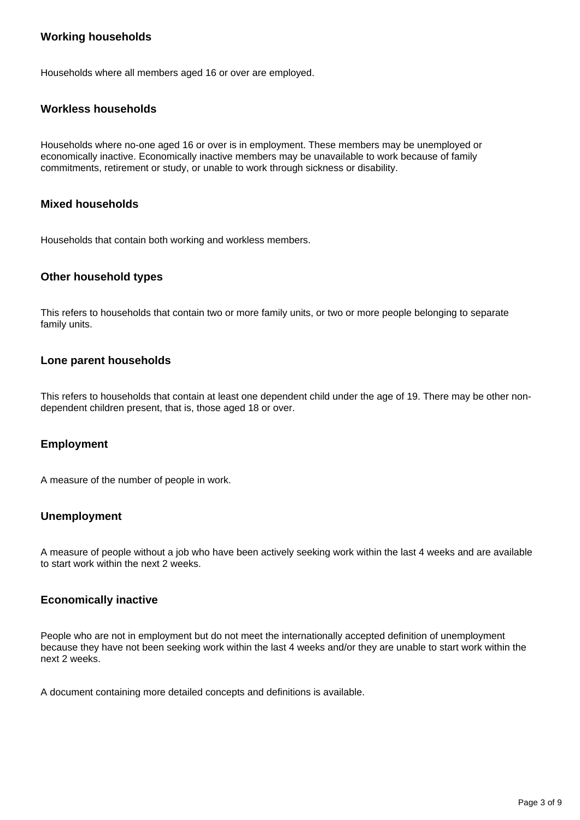#### **Working households**

Households where all members aged 16 or over are employed.

#### **Workless households**

Households where no-one aged 16 or over is in employment. These members may be unemployed or economically inactive. Economically inactive members may be unavailable to work because of family commitments, retirement or study, or unable to work through sickness or disability.

#### **Mixed households**

Households that contain both working and workless members.

#### **Other household types**

This refers to households that contain two or more family units, or two or more people belonging to separate family units.

#### **Lone parent households**

This refers to households that contain at least one dependent child under the age of 19. There may be other nondependent children present, that is, those aged 18 or over.

#### **Employment**

A measure of the number of people in work.

#### **Unemployment**

A measure of people without a job who have been actively seeking work within the last 4 weeks and are available to start work within the next 2 weeks.

#### **Economically inactive**

People who are not in employment but do not meet the internationally accepted definition of unemployment because they have not been seeking work within the last 4 weeks and/or they are unable to start work within the next 2 weeks.

A document containing more detailed concepts and definitions is available.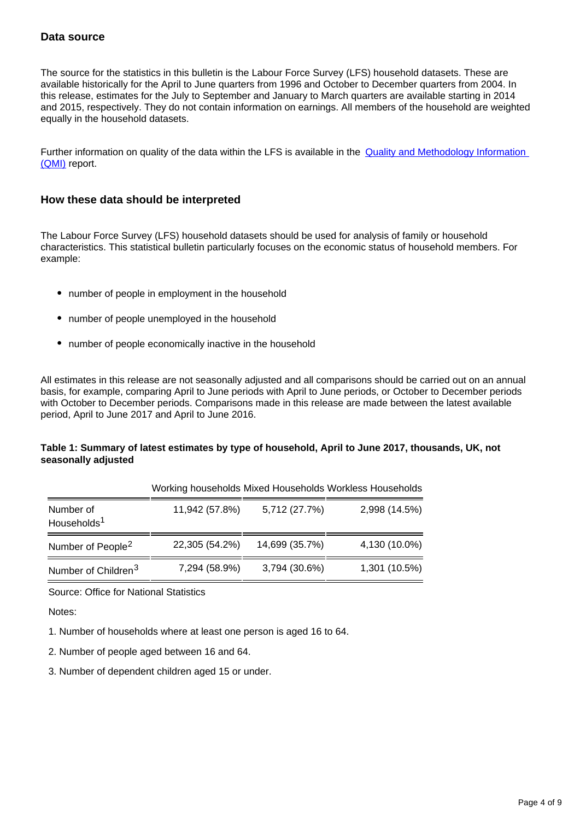#### **Data source**

The source for the statistics in this bulletin is the Labour Force Survey (LFS) household datasets. These are available historically for the April to June quarters from 1996 and October to December quarters from 2004. In this release, estimates for the July to September and January to March quarters are available starting in 2014 and 2015, respectively. They do not contain information on earnings. All members of the household are weighted equally in the household datasets.

Further information on quality of the data within the LFS is available in the **Quality and Methodology Information** [\(QMI\)](https://www.ons.gov.uk/employmentandlabourmarket/peopleinwork/employmentandemployeetypes/qmis/labourforcesurveylfsqmi) report.

#### **How these data should be interpreted**

The Labour Force Survey (LFS) household datasets should be used for analysis of family or household characteristics. This statistical bulletin particularly focuses on the economic status of household members. For example:

- number of people in employment in the household
- number of people unemployed in the household
- number of people economically inactive in the household

All estimates in this release are not seasonally adjusted and all comparisons should be carried out on an annual basis, for example, comparing April to June periods with April to June periods, or October to December periods with October to December periods. Comparisons made in this release are made between the latest available period, April to June 2017 and April to June 2016.

#### **Table 1: Summary of latest estimates by type of household, April to June 2017, thousands, UK, not seasonally adjusted**

|                                      |                |                | Working households Mixed Households Workless Households |
|--------------------------------------|----------------|----------------|---------------------------------------------------------|
| Number of<br>Households <sup>1</sup> | 11,942 (57.8%) | 5,712 (27.7%)  | 2,998 (14.5%)                                           |
| Number of People <sup>2</sup>        | 22,305 (54.2%) | 14,699 (35.7%) | 4,130 (10.0%)                                           |
| Number of Children <sup>3</sup>      | 7,294 (58.9%)  | 3,794 (30.6%)  | 1,301 (10.5%)                                           |

Source: Office for National Statistics

Notes:

- 1. Number of households where at least one person is aged 16 to 64.
- 2. Number of people aged between 16 and 64.
- 3. Number of dependent children aged 15 or under.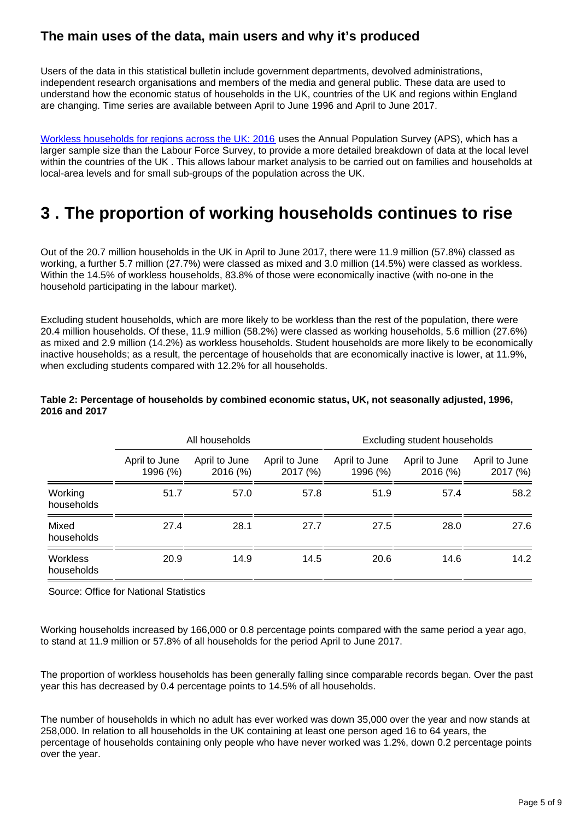### **The main uses of the data, main users and why it's produced**

Users of the data in this statistical bulletin include government departments, devolved administrations, independent research organisations and members of the media and general public. These data are used to understand how the economic status of households in the UK, countries of the UK and regions within England are changing. Time series are available between April to June 1996 and April to June 2017.

[Workless households for regions across the UK: 2016](https://www.ons.gov.uk/employmentandlabourmarket/peoplenotinwork/unemployment/bulletins/worklesshouseholdsforregionsacrosstheuk/2016) uses the Annual Population Survey (APS), which has a larger sample size than the Labour Force Survey, to provide a more detailed breakdown of data at the local level within the countries of the UK . This allows labour market analysis to be carried out on families and households at local-area levels and for small sub-groups of the population across the UK.

## <span id="page-4-0"></span>**3 . The proportion of working households continues to rise**

Out of the 20.7 million households in the UK in April to June 2017, there were 11.9 million (57.8%) classed as working, a further 5.7 million (27.7%) were classed as mixed and 3.0 million (14.5%) were classed as workless. Within the 14.5% of workless households, 83.8% of those were economically inactive (with no-one in the household participating in the labour market).

Excluding student households, which are more likely to be workless than the rest of the population, there were 20.4 million households. Of these, 11.9 million (58.2%) were classed as working households, 5.6 million (27.6%) as mixed and 2.9 million (14.2%) as workless households. Student households are more likely to be economically inactive households; as a result, the percentage of households that are economically inactive is lower, at 11.9%, when excluding students compared with 12.2% for all households.

|                               | All households            |                           |                          | Excluding student households |                          |                           |
|-------------------------------|---------------------------|---------------------------|--------------------------|------------------------------|--------------------------|---------------------------|
|                               | April to June<br>1996 (%) | April to June<br>2016 (%) | April to June<br>2017(%) | April to June<br>1996 (%)    | April to June<br>2016(%) | April to June<br>2017 (%) |
| Working<br>households         | 51.7                      | 57.0                      | 57.8                     | 51.9                         | 57.4                     | 58.2                      |
| Mixed<br>households           | 27.4                      | 28.1                      | 27.7                     | 27.5                         | 28.0                     | 27.6                      |
| <b>Workless</b><br>households | 20.9                      | 14.9                      | 14.5                     | 20.6                         | 14.6                     | 14.2                      |

#### **Table 2: Percentage of households by combined economic status, UK, not seasonally adjusted, 1996, 2016 and 2017**

Source: Office for National Statistics

Working households increased by 166,000 or 0.8 percentage points compared with the same period a year ago, to stand at 11.9 million or 57.8% of all households for the period April to June 2017.

The proportion of workless households has been generally falling since comparable records began. Over the past year this has decreased by 0.4 percentage points to 14.5% of all households.

The number of households in which no adult has ever worked was down 35,000 over the year and now stands at 258,000. In relation to all households in the UK containing at least one person aged 16 to 64 years, the percentage of households containing only people who have never worked was 1.2%, down 0.2 percentage points over the year.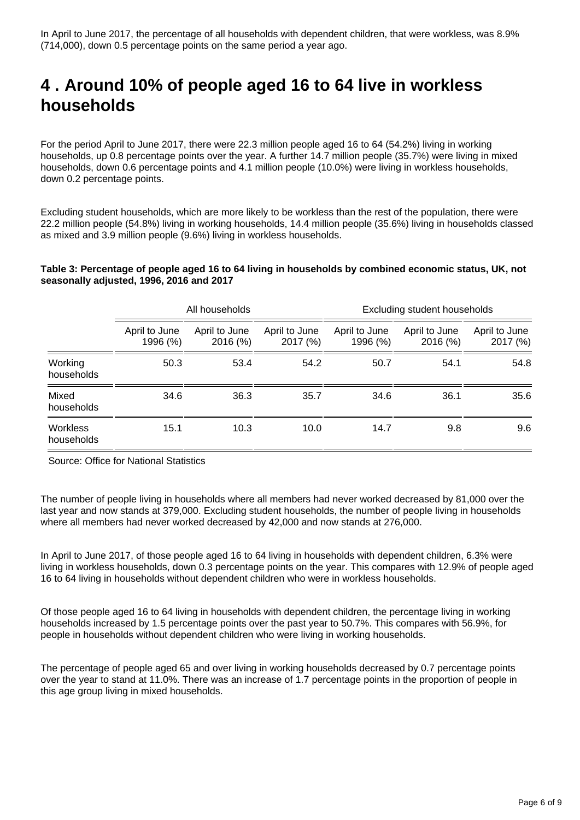## <span id="page-5-0"></span>**4 . Around 10% of people aged 16 to 64 live in workless households**

For the period April to June 2017, there were 22.3 million people aged 16 to 64 (54.2%) living in working households, up 0.8 percentage points over the year. A further 14.7 million people (35.7%) were living in mixed households, down 0.6 percentage points and 4.1 million people (10.0%) were living in workless households, down 0.2 percentage points.

Excluding student households, which are more likely to be workless than the rest of the population, there were 22.2 million people (54.8%) living in working households, 14.4 million people (35.6%) living in households classed as mixed and 3.9 million people (9.6%) living in workless households.

#### **Table 3: Percentage of people aged 16 to 64 living in households by combined economic status, UK, not seasonally adjusted, 1996, 2016 and 2017**

|                               | All households            |                          |                           | Excluding student households |                           |                          |
|-------------------------------|---------------------------|--------------------------|---------------------------|------------------------------|---------------------------|--------------------------|
|                               | April to June<br>1996 (%) | April to June<br>2016(%) | April to June<br>2017 (%) | April to June<br>1996 (%)    | April to June<br>2016 (%) | April to June<br>2017(%) |
| Working<br>households         | 50.3                      | 53.4                     | 54.2                      | 50.7                         | 54.1                      | 54.8                     |
| Mixed<br>households           | 34.6                      | 36.3                     | 35.7                      | 34.6                         | 36.1                      | 35.6                     |
| <b>Workless</b><br>households | 15.1                      | 10.3                     | 10.0                      | 14.7                         | 9.8                       | 9.6                      |

Source: Office for National Statistics

The number of people living in households where all members had never worked decreased by 81,000 over the last year and now stands at 379,000. Excluding student households, the number of people living in households where all members had never worked decreased by 42,000 and now stands at 276,000.

In April to June 2017, of those people aged 16 to 64 living in households with dependent children, 6.3% were living in workless households, down 0.3 percentage points on the year. This compares with 12.9% of people aged 16 to 64 living in households without dependent children who were in workless households.

Of those people aged 16 to 64 living in households with dependent children, the percentage living in working households increased by 1.5 percentage points over the past year to 50.7%. This compares with 56.9%, for people in households without dependent children who were living in working households.

The percentage of people aged 65 and over living in working households decreased by 0.7 percentage points over the year to stand at 11.0%. There was an increase of 1.7 percentage points in the proportion of people in this age group living in mixed households.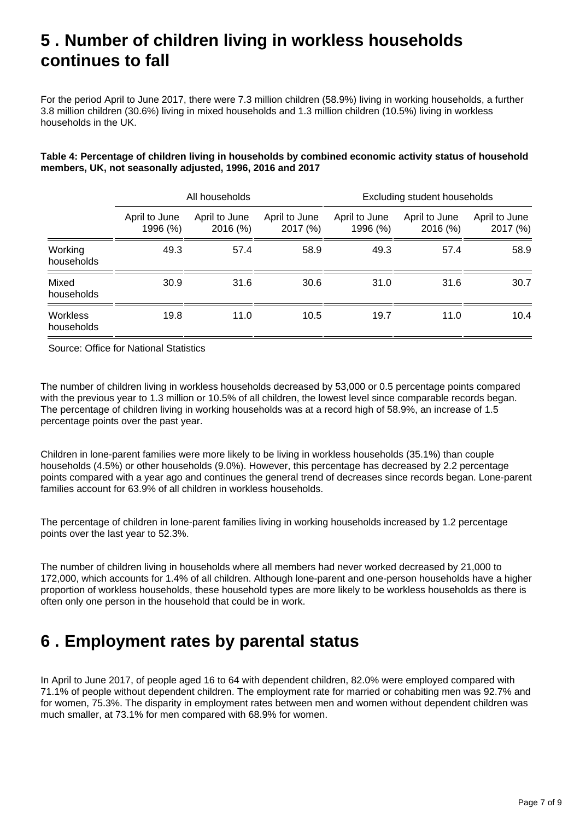## <span id="page-6-0"></span>**5 . Number of children living in workless households continues to fall**

For the period April to June 2017, there were 7.3 million children (58.9%) living in working households, a further 3.8 million children (30.6%) living in mixed households and 1.3 million children (10.5%) living in workless households in the UK.

#### **Table 4: Percentage of children living in households by combined economic activity status of household members, UK, not seasonally adjusted, 1996, 2016 and 2017**

|                               | All households            |                           |                           | Excluding student households |                           |                           |
|-------------------------------|---------------------------|---------------------------|---------------------------|------------------------------|---------------------------|---------------------------|
|                               | April to June<br>1996 (%) | April to June<br>2016 (%) | April to June<br>2017 (%) | April to June<br>1996 (%)    | April to June<br>2016 (%) | April to June<br>2017 (%) |
| Working<br>households         | 49.3                      | 57.4                      | 58.9                      | 49.3                         | 57.4                      | 58.9                      |
| Mixed<br>households           | 30.9                      | 31.6                      | 30.6                      | 31.0                         | 31.6                      | 30.7                      |
| <b>Workless</b><br>households | 19.8                      | 11.0                      | 10.5                      | 19.7                         | 11.0                      | 10.4                      |

Source: Office for National Statistics

The number of children living in workless households decreased by 53,000 or 0.5 percentage points compared with the previous year to 1.3 million or 10.5% of all children, the lowest level since comparable records began. The percentage of children living in working households was at a record high of 58.9%, an increase of 1.5 percentage points over the past year.

Children in lone-parent families were more likely to be living in workless households (35.1%) than couple households (4.5%) or other households (9.0%). However, this percentage has decreased by 2.2 percentage points compared with a year ago and continues the general trend of decreases since records began. Lone-parent families account for 63.9% of all children in workless households.

The percentage of children in lone-parent families living in working households increased by 1.2 percentage points over the last year to 52.3%.

The number of children living in households where all members had never worked decreased by 21,000 to 172,000, which accounts for 1.4% of all children. Although lone-parent and one-person households have a higher proportion of workless households, these household types are more likely to be workless households as there is often only one person in the household that could be in work.

### <span id="page-6-1"></span>**6 . Employment rates by parental status**

In April to June 2017, of people aged 16 to 64 with dependent children, 82.0% were employed compared with 71.1% of people without dependent children. The employment rate for married or cohabiting men was 92.7% and for women, 75.3%. The disparity in employment rates between men and women without dependent children was much smaller, at 73.1% for men compared with 68.9% for women.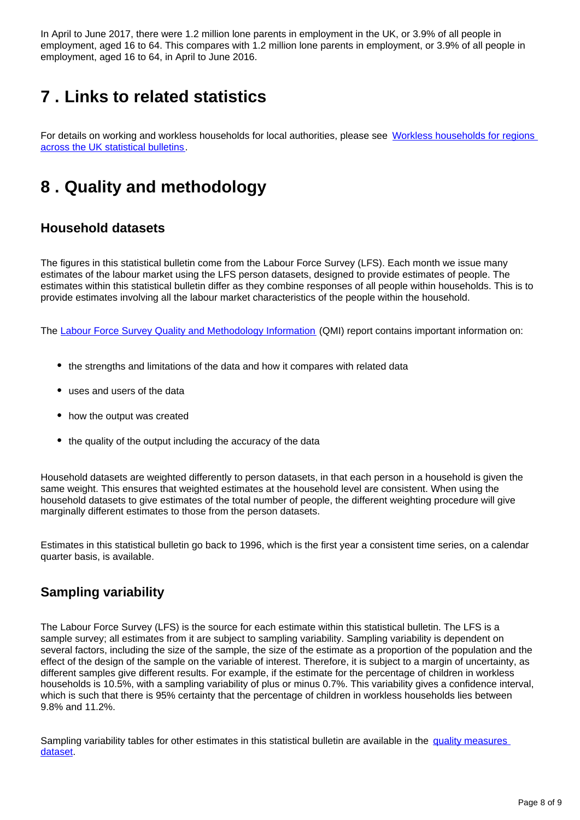In April to June 2017, there were 1.2 million lone parents in employment in the UK, or 3.9% of all people in employment, aged 16 to 64. This compares with 1.2 million lone parents in employment, or 3.9% of all people in employment, aged 16 to 64, in April to June 2016.

## <span id="page-7-0"></span>**7 . Links to related statistics**

For details on working and workless households for local authorities, please see [Workless households for regions](https://www.ons.gov.uk/employmentandlabourmarket/peoplenotinwork/unemployment/bulletins/worklesshouseholdsforregionsacrosstheuk/previousReleases)  [across the UK statistical bulletins](https://www.ons.gov.uk/employmentandlabourmarket/peoplenotinwork/unemployment/bulletins/worklesshouseholdsforregionsacrosstheuk/previousReleases).

## <span id="page-7-1"></span>**8 . Quality and methodology**

### **Household datasets**

The figures in this statistical bulletin come from the Labour Force Survey (LFS). Each month we issue many estimates of the labour market using the LFS person datasets, designed to provide estimates of people. The estimates within this statistical bulletin differ as they combine responses of all people within households. This is to provide estimates involving all the labour market characteristics of the people within the household.

The [Labour Force Survey Quality and Methodology Information](https://www.ons.gov.uk/employmentandlabourmarket/peopleinwork/employmentandemployeetypes/qmis/labourforcesurveylfsqmi) (QMI) report contains important information on:

- the strengths and limitations of the data and how it compares with related data
- uses and users of the data
- how the output was created
- the quality of the output including the accuracy of the data

Household datasets are weighted differently to person datasets, in that each person in a household is given the same weight. This ensures that weighted estimates at the household level are consistent. When using the household datasets to give estimates of the total number of people, the different weighting procedure will give marginally different estimates to those from the person datasets.

Estimates in this statistical bulletin go back to 1996, which is the first year a consistent time series, on a calendar quarter basis, is available.

### **Sampling variability**

The Labour Force Survey (LFS) is the source for each estimate within this statistical bulletin. The LFS is a sample survey; all estimates from it are subject to sampling variability. Sampling variability is dependent on several factors, including the size of the sample, the size of the estimate as a proportion of the population and the effect of the design of the sample on the variable of interest. Therefore, it is subject to a margin of uncertainty, as different samples give different results. For example, if the estimate for the percentage of children in workless households is 10.5%, with a sampling variability of plus or minus 0.7%. This variability gives a confidence interval, which is such that there is 95% certainty that the percentage of children in workless households lies between 9.8% and 11.2%.

Sampling variability tables for other estimates in this statistical bulletin are available in the quality measures [dataset.](https://www.ons.gov.uk/employmentandlabourmarket/peopleinwork/employmentandemployeetypes/datasets/workingandworklesshouseholdstableshowingqualitymeasures)